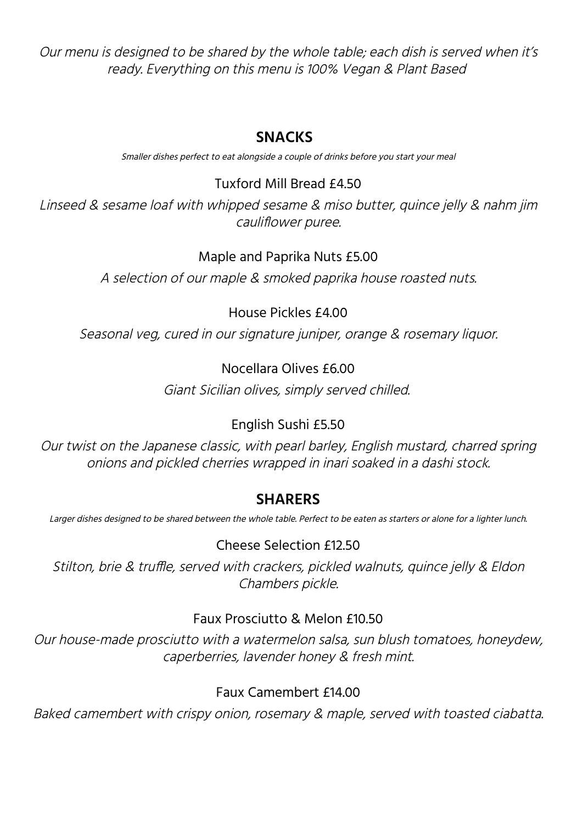Our menu is designed to be shared by the whole table; each dish is served when it's ready. Everything on this menu is 100% Vegan & Plant Based

### **SNACKS**

Smaller dishes perfect to eat alongside <sup>a</sup> couple of drinks before you start your meal

## Tuxford Mill Bread £4.50

Linseed & sesame loaf with whipped sesame & miso butter, quince jelly & nahm jim cauliflower puree.

#### Maple and Paprika Nuts £5.00

A selection of our maple & smoked paprika house roasted nuts.

## House Pickles £4.00

Seasonal veg, cured in our signature juniper, orange & rosemary liquor.

## Nocellara Olives £6.00

Giant Sicilian olives, simply served chilled.

## English Sushi £5.50

Our twist on the Japanese classic, with pearl barley, English mustard, charred spring onions and pickled cherries wrapped in inari soaked in <sup>a</sup> dashi stock.

## **SHARERS**

Larger dishes designed to be shared between the whole table. Perfect to be eaten as starters or alone for <sup>a</sup> lighter lunch.

#### Cheese Selection £12.50

Stilton, brie & truffle, served with crackers, pickled walnuts, quince jelly & Eldon Chambers pickle.

## Faux Prosciutto & Melon £10.50

Our house-made prosciutto with <sup>a</sup> watermelon salsa, sun blush tomatoes, honeydew, caperberries, lavender honey & fresh mint.

## Faux Camembert £14.00

Baked camembert with crispy onion, rosemary & maple, served with toasted ciabatta.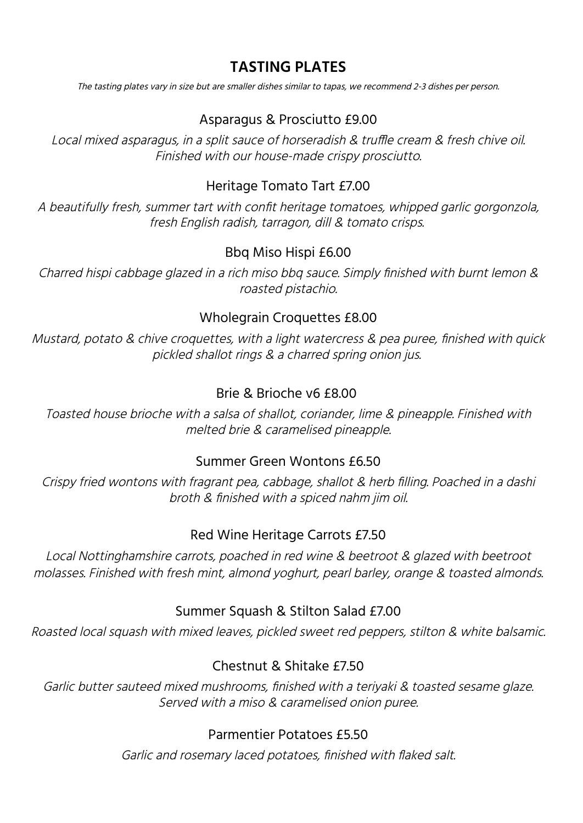## **TASTING PLATES**

The tasting plates vary in size but are smaller dishes similar to tapas, we recommend 2-3 dishes per person.

## Asparagus & Prosciutto £9.00

Local mixed asparagus, in <sup>a</sup> split sauce of horseradish & truffle cream & fresh chive oil. Finished with our house-made crispy prosciutto.

#### Heritage Tomato Tart £7.00

A beautifully fresh, summer tart with confit heritage tomatoes, whipped garlic gorgonzola, fresh English radish, tarragon, dill & tomato crisps.

## Bbq Miso Hispi £6.00

Charred hispi cabbage glazed in <sup>a</sup> rich miso bbq sauce. Simply finished with burnt lemon & roasted pistachio.

#### Wholegrain Croquettes £8.00

Mustard, potato & chive croquettes, with <sup>a</sup> light watercress & pea puree, finished with quick pickled shallot rings & <sup>a</sup> charred spring onion jus.

#### Brie & Brioche v6 £8.00

Toasted house brioche with <sup>a</sup> salsa of shallot, coriander, lime & pineapple. Finished with melted brie & caramelised pineapple.

#### Summer Green Wontons £6.50

Crispy fried wontons with fragrant pea, cabbage, shallot & herb filling. Poached in <sup>a</sup> dashi broth & finished with <sup>a</sup> spiced nahm jim oil.

#### Red Wine Heritage Carrots £7.50

Local Nottinghamshire carrots, poached in red wine & beetroot & glazed with beetroot molasses. Finished with fresh mint, almond yoghurt, pearl barley, orange & toasted almonds.

#### Summer Squash & Stilton Salad £7.00

Roasted local squash with mixed leaves, pickled sweet red peppers, stilton & white balsamic.

#### Chestnut & Shitake £7.50

Garlic butter sauteed mixed mushrooms, finished with <sup>a</sup> teriyaki & toasted sesame glaze. Served with <sup>a</sup> miso & caramelised onion puree.

#### Parmentier Potatoes £5.50

Garlic and rosemary laced potatoes, finished with flaked salt.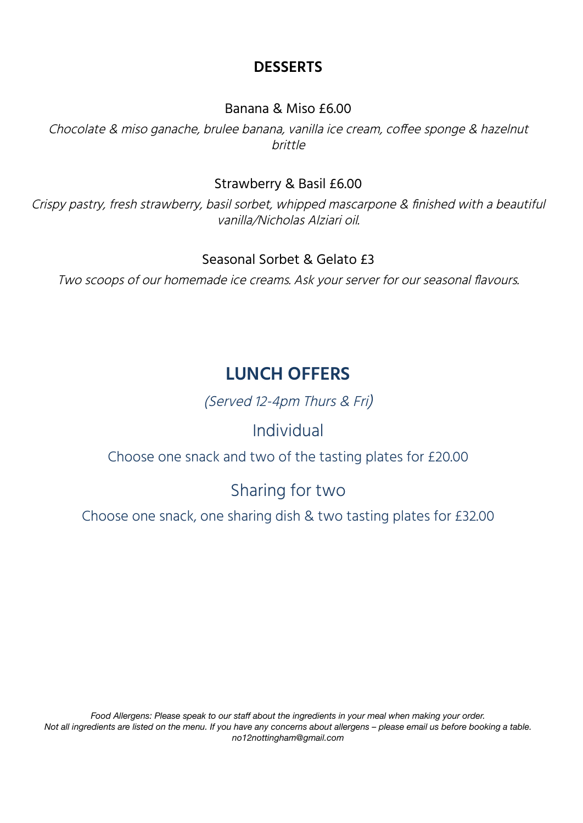## **DESSERTS**

Banana & Miso £6.00

Chocolate & miso ganache, brulee banana, vanilla ice cream, coffee sponge & hazelnut brittle

### Strawberry & Basil £6.00

Crispy pastry, fresh strawberry, basil sorbet, whipped mascarpone & finished with <sup>a</sup> beautiful vanilla/Nicholas Alziari oil.

## Seasonal Sorbet & Gelato £3

Two scoops of our homemade ice creams. Ask your server for our seasonal flavours.

# **LUNCH OFFERS**

(Served 12-4pm Thurs & Fri)

# Individual

Choose one snack and two of the tasting plates for £20.00

# Sharing for two

Choose one snack, one sharing dish & two tasting plates for £32.00